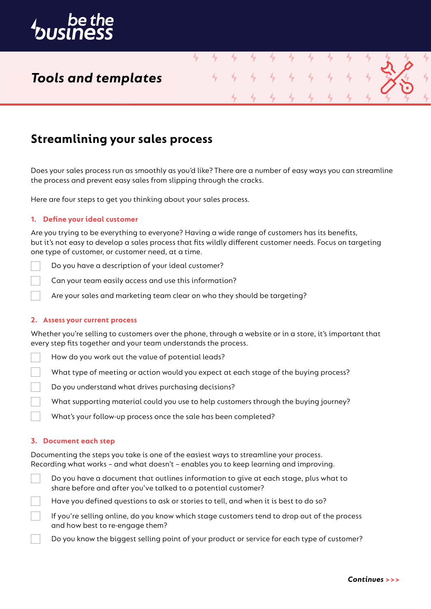

## *Tools and templates*

### **Streamlining your sales process**

Does your sales process run as smoothly as you'd like? There are a number of easy ways you can streamline the process and prevent easy sales from slipping through the cracks.

4

Here are four steps to get you thinking about your sales process.

#### **1. Define your ideal customer**

Are you trying to be everything to everyone? Having a wide range of customers has its benefits, but it's not easy to develop a sales process that fits wildly different customer needs. Focus on targeting one type of customer, or customer need, at a time.

Do you have a description of your ideal customer?

Can your team easily access and use this information?

Are your sales and marketing team clear on who they should be targeting?

#### **2. Assess your current process**

Whether you're selling to customers over the phone, through a website or in a store, it's important that every step fits together and your team understands the process.

- How do you work out the value of potential leads?
- What type of meeting or action would you expect at each stage of the buying process?
- Do you understand what drives purchasing decisions?
	- What supporting material could you use to help customers through the buying journey?
	- What's your follow-up process once the sale has been completed?

#### **3. Document each step**

Documenting the steps you take is one of the easiest ways to streamline your process. Recording what works – and what doesn't – enables you to keep learning and improving.



Have you defined questions to ask or stories to tell, and when it is best to do so?

If you're selling online, do you know which stage customers tend to drop out of the process and how best to re-engage them?

Do you know the biggest selling point of your product or service for each type of customer?